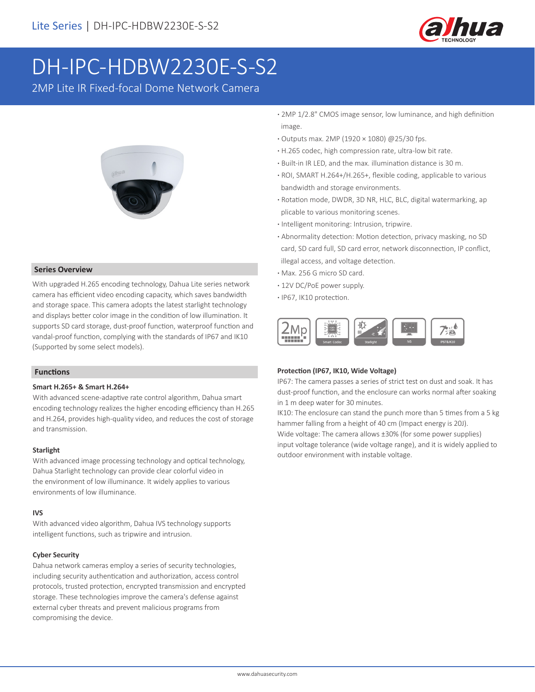

# DH-IPC-HDBW2230E-S-S2

2MP Lite IR Fixed-focal Dome Network Camera



#### **Series Overview**

With upgraded H.265 encoding technology, Dahua Lite series network camera has efficient video encoding capacity, which saves bandwidth and storage space. This camera adopts the latest starlight technology and displays better color image in the condition of low illumination. It supports SD card storage, dust-proof function, waterproof function and vandal-proof function, complying with the standards of IP67 and IK10 (Supported by some select models).

#### **Functions**

#### **Smart H.265+ & Smart H.264+**

With advanced scene-adaptive rate control algorithm, Dahua smart encoding technology realizes the higher encoding efficiency than H.265 and H.264, provides high-quality video, and reduces the cost of storage and transmission.

#### **Starlight**

With advanced image processing technology and optical technology, Dahua Starlight technology can provide clear colorful video in the environment of low illuminance. It widely applies to various environments of low illuminance.

#### **IVS**

With advanced video algorithm, Dahua IVS technology supports intelligent functions, such as tripwire and intrusion.

#### **Cyber Security**

Dahua network cameras employ a series of security technologies, including security authentication and authorization, access control protocols, trusted protection, encrypted transmission and encrypted storage. These technologies improve the camera's defense against external cyber threats and prevent malicious programs from compromising the device.

- **·** 2MP 1/2.8" CMOS image sensor, low luminance, and high definition image.
- **·** Outputs max. 2MP (1920 × 1080) @25/30 fps.
- **·** H.265 codec, high compression rate, ultra-low bit rate.
- **·** Built-in IR LED, and the max. illumination distance is 30 m.
- **·** ROI, SMART H.264+/H.265+, flexible coding, applicable to various bandwidth and storage environments.
- **·** Rotation mode, DWDR, 3D NR, HLC, BLC, digital watermarking, ap plicable to various monitoring scenes.
- **·** Intelligent monitoring: Intrusion, tripwire.
- **·** Abnormality detection: Motion detection, privacy masking, no SD card, SD card full, SD card error, network disconnection, IP conflict, illegal access, and voltage detection.
- **·** Max. 256 G micro SD card.
- **·** 12V DC/PoE power supply.
- **·** IP67, IK10 protection.



#### **Protection (IP67, IK10, Wide Voltage)**

IP67: The camera passes a series of strict test on dust and soak. It has dust-proof function, and the enclosure can works normal after soaking in 1 m deep water for 30 minutes.

IK10: The enclosure can stand the punch more than 5 times from a 5 kg hammer falling from a height of 40 cm (Impact energy is 20J). Wide voltage: The camera allows ±30% (for some power supplies) input voltage tolerance (wide voltage range), and it is widely applied to outdoor environment with instable voltage.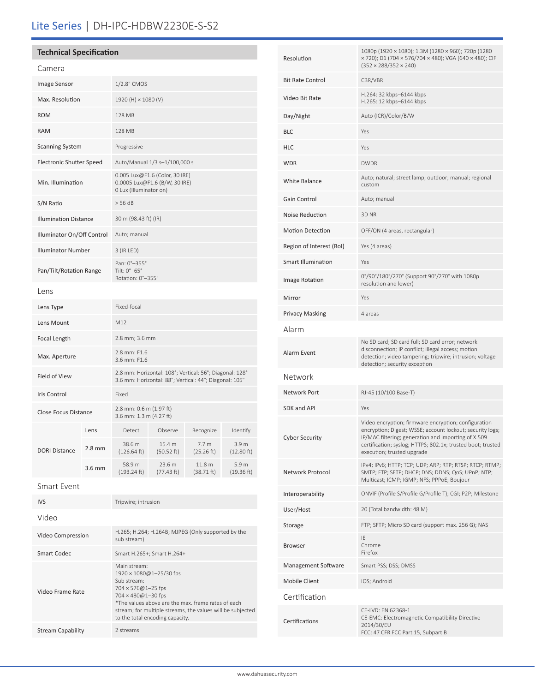## Lite Series | DH-IPC-HDBW2230E-S-S2

| <b>Technical Specification</b>  |                                                                                           |  |
|---------------------------------|-------------------------------------------------------------------------------------------|--|
| Camera                          |                                                                                           |  |
| Image Sensor                    | 1/2.8" CMOS                                                                               |  |
| Max. Resolution                 | 1920 (H) × 1080 (V)                                                                       |  |
| <b>ROM</b>                      | <b>128 MB</b>                                                                             |  |
| <b>RAM</b>                      | <b>128 MB</b>                                                                             |  |
| <b>Scanning System</b>          | Progressive                                                                               |  |
| <b>Electronic Shutter Speed</b> | Auto/Manual 1/3 s-1/100,000 s                                                             |  |
| Min. Illumination               | 0.005 Lux@F1.6 (Color, 30 IRE)<br>0.0005 Lux@F1.6 (B/W, 30 IRE)<br>0 Lux (Illuminator on) |  |
| S/N Ratio                       | $>$ 56 dB                                                                                 |  |
| <b>Illumination Distance</b>    | 30 m (98.43 ft) (IR)                                                                      |  |
| Illuminator On/Off Control      | Auto; manual                                                                              |  |
| <b>Illuminator Number</b>       | 3 (IR LED)                                                                                |  |
| Pan/Tilt/Rotation Range         | Pan: 0°-355°<br>Tilt: 0°-65°<br>Rotation: 0°-355°                                         |  |
| l ens                           |                                                                                           |  |
| Lens Type                       | Fixed-focal                                                                               |  |
| Lens Mount                      | M12                                                                                       |  |
| Focal Length                    | 2.8 mm; 3.6 mm                                                                            |  |
| Max. Aperture                   | 2.8 mm: F1.6<br>3.6 mm: F1.6                                                              |  |

| Field of View        |          | 2.8 mm: Horizontal: 108°; Vertical: 56°; Diagonal: 128°<br>3.6 mm: Horizontal: 88°; Vertical: 44°; Diagonal: 105° |                      |                                |                                |
|----------------------|----------|-------------------------------------------------------------------------------------------------------------------|----------------------|--------------------------------|--------------------------------|
| Iris Control         |          | Fixed                                                                                                             |                      |                                |                                |
| Close Focus Distance |          | 2.8 mm: $0.6$ m (1.97 ft)<br>3.6 mm: $1.3$ m (4.27 ft)                                                            |                      |                                |                                |
| <b>DORI Distance</b> | Lens     | Detect                                                                                                            | Observe              | Recognize                      | Identify                       |
|                      | $2.8$ mm | 38.6 m<br>(126.64 ft)                                                                                             | 15.4 m<br>(50.52 ft) | 7.7 <sub>m</sub><br>(25.26 ft) | 3.9 <sub>m</sub><br>(12.80 ft) |
|                      | $3.6$ mm | 58.9 m<br>(193.24 ft)                                                                                             | 23.6 m<br>(77.43 ft) | 11.8 m<br>(38.71 ft)           | 5.9 <sub>m</sub><br>(19.36 ft) |
| Smort E, cont        |          |                                                                                                                   |                      |                                |                                |

| Smart Event |  |
|-------------|--|
|-------------|--|

| <b>IVS</b>               | Tripwire; intrusion                                                                                                                                                                                                                                                                  |
|--------------------------|--------------------------------------------------------------------------------------------------------------------------------------------------------------------------------------------------------------------------------------------------------------------------------------|
| Video                    |                                                                                                                                                                                                                                                                                      |
| Video Compression        | H.265; H.264; H.264B; MJPEG (Only supported by the<br>sub stream)                                                                                                                                                                                                                    |
| Smart Codec              | Smart H.265+; Smart H.264+                                                                                                                                                                                                                                                           |
| Video Frame Rate         | Main stream:<br>$1920 \times 1080@1 - 25/30$ fps<br>Sub stream:<br>$704 \times 576@1 - 25$ fps<br>$704 \times 480@1 - 30$ fps<br>*The values above are the max, frame rates of each<br>stream; for multiple streams, the values will be subjected<br>to the total encoding capacity. |
| <b>Stream Capability</b> | 2 streams                                                                                                                                                                                                                                                                            |

| Resolution               | 1080p (1920 × 1080); 1.3M (1280 × 960); 720p (1280<br>× 720); D1 (704 × 576/704 × 480); VGA (640 × 480); CIF<br>$(352 \times 288/352 \times 240)$                                                                                                                     |
|--------------------------|-----------------------------------------------------------------------------------------------------------------------------------------------------------------------------------------------------------------------------------------------------------------------|
| <b>Bit Rate Control</b>  | CBR/VBR                                                                                                                                                                                                                                                               |
| Video Bit Rate           | H.264: 32 kbps-6144 kbps<br>H.265: 12 kbps-6144 kbps                                                                                                                                                                                                                  |
| Day/Night                | Auto (ICR)/Color/B/W                                                                                                                                                                                                                                                  |
| <b>BLC</b>               | Yes                                                                                                                                                                                                                                                                   |
| HLC                      | Yes                                                                                                                                                                                                                                                                   |
| <b>WDR</b>               | <b>DWDR</b>                                                                                                                                                                                                                                                           |
| <b>White Balance</b>     | Auto; natural; street lamp; outdoor; manual; regional<br>custom                                                                                                                                                                                                       |
| Gain Control             | Auto; manual                                                                                                                                                                                                                                                          |
| Noise Reduction          | 3D NR                                                                                                                                                                                                                                                                 |
| <b>Motion Detection</b>  | OFF/ON (4 areas, rectangular)                                                                                                                                                                                                                                         |
| Region of Interest (RoI) | Yes (4 areas)                                                                                                                                                                                                                                                         |
| Smart Illumination       | Yes                                                                                                                                                                                                                                                                   |
| Image Rotation           | 0°/90°/180°/270° (Support 90°/270° with 1080p<br>resolution and lower)                                                                                                                                                                                                |
| Mirror                   | Yes                                                                                                                                                                                                                                                                   |
| <b>Privacy Masking</b>   | 4 areas                                                                                                                                                                                                                                                               |
| Alarm                    |                                                                                                                                                                                                                                                                       |
| Alarm Event              | No SD card; SD card full; SD card error; network<br>disconnection; IP conflict; illegal access; motion<br>detection; video tampering; tripwire; intrusion; voltage<br>detection; security exception                                                                   |
| Network                  |                                                                                                                                                                                                                                                                       |
| Network Port             | RJ-45 (10/100 Base-T)                                                                                                                                                                                                                                                 |
| SDK and API              | Yes                                                                                                                                                                                                                                                                   |
| <b>Cyber Security</b>    | Video encryption; firmware encryption; configuration<br>encryption; Digest; WSSE; account lockout; security logs;<br>IP/MAC filtering; generation and importing of X.509<br>certification; syslog; HTTPS; 802.1x; trusted boot; trusted<br>execution; trusted upgrade |
| Network Protocol         | IPv4; IPv6; HTTP; TCP; UDP; ARP; RTP; RTSP; RTCP; RTMP;<br>SMTP; FTP; SFTP; DHCP; DNS; DDNS; QoS; UPnP; NTP;<br>Multicast; ICMP; IGMP; NFS; PPPoE; Boujour                                                                                                            |
| Interoperability         | ONVIF (Profile S/Profile G/Profile T); CGI; P2P; Milestone                                                                                                                                                                                                            |
| User/Host                | 20 (Total bandwidth: 48 M)                                                                                                                                                                                                                                            |
| Storage                  | FTP; SFTP; Micro SD card (support max. 256 G); NAS                                                                                                                                                                                                                    |
| <b>Browser</b>           | ΙE<br>Chrome<br>Firefox                                                                                                                                                                                                                                               |
| Management Software      | Smart PSS; DSS; DMSS                                                                                                                                                                                                                                                  |
| Mobile Client            | IOS; Android                                                                                                                                                                                                                                                          |
| Certification            |                                                                                                                                                                                                                                                                       |
| Certifications           | CE-LVD: EN 62368-1<br>CE-EMC: Electromagnetic Compatibility Directive<br>2014/30/EU<br>FCC: 47 CFR FCC Part 15, Subpart B                                                                                                                                             |